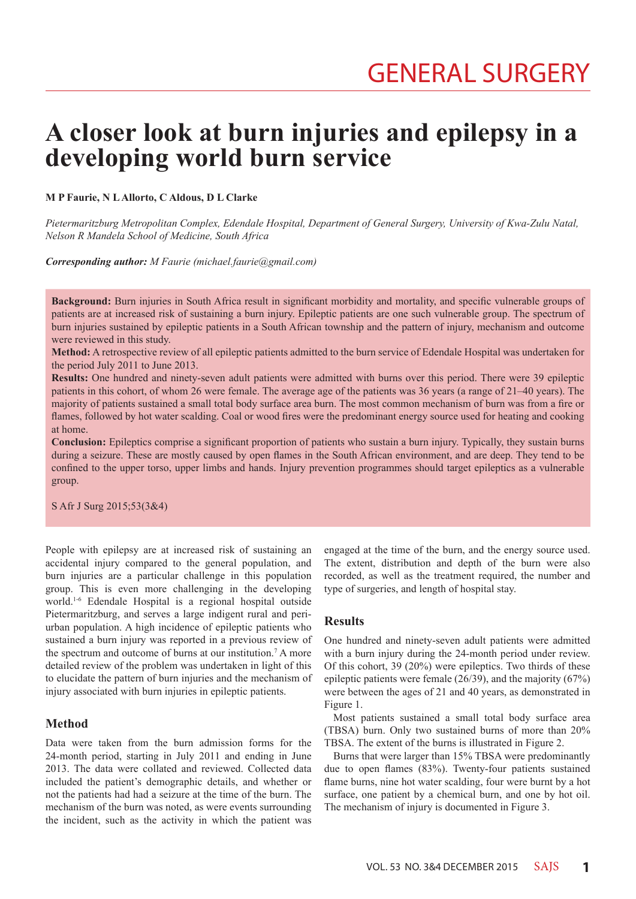# **A closer look at burn injuries and epilepsy in a developing world burn service**

**M P Faurie, N L Allorto, C Aldous, D L Clarke**

*Pietermaritzburg Metropolitan Complex, Edendale Hospital, Department of General Surgery, University of Kwa-Zulu Natal, Nelson R Mandela School of Medicine, South Africa*

*Corresponding author: M Faurie (michael.faurie@gmail.com)*

**Background:** Burn injuries in South Africa result in significant morbidity and mortality, and specific vulnerable groups of patients are at increased risk of sustaining a burn injury. Epileptic patients are one such vulnerable group. The spectrum of burn injuries sustained by epileptic patients in a South African township and the pattern of injury, mechanism and outcome were reviewed in this study.

**Method:** A retrospective review of all epileptic patients admitted to the burn service of Edendale Hospital was undertaken for the period July 2011 to June 2013.

**Results:** One hundred and ninety-seven adult patients were admitted with burns over this period. There were 39 epileptic patients in this cohort, of whom 26 were female. The average age of the patients was 36 years (a range of 21–40 years). The majority of patients sustained a small total body surface area burn. The most common mechanism of burn was from a fire or flames, followed by hot water scalding. Coal or wood fires were the predominant energy source used for heating and cooking at home.

**Conclusion:** Epileptics comprise a significant proportion of patients who sustain a burn injury. Typically, they sustain burns during a seizure. These are mostly caused by open flames in the South African environment, and are deep. They tend to be confined to the upper torso, upper limbs and hands. Injury prevention programmes should target epileptics as a vulnerable group.

S Afr J Surg 2015;53(3&4)

People with epilepsy are at increased risk of sustaining an accidental injury compared to the general population, and burn injuries are a particular challenge in this population group. This is even more challenging in the developing world.1-6 Edendale Hospital is a regional hospital outside Pietermaritzburg, and serves a large indigent rural and periurban population. A high incidence of epileptic patients who sustained a burn injury was reported in a previous review of the spectrum and outcome of burns at our institution.<sup>7</sup> A more detailed review of the problem was undertaken in light of this to elucidate the pattern of burn injuries and the mechanism of injury associated with burn injuries in epileptic patients.

## **Method**

Data were taken from the burn admission forms for the 24-month period, starting in July 2011 and ending in June 2013. The data were collated and reviewed. Collected data included the patient's demographic details, and whether or not the patients had had a seizure at the time of the burn. The mechanism of the burn was noted, as were events surrounding the incident, such as the activity in which the patient was engaged at the time of the burn, and the energy source used. The extent, distribution and depth of the burn were also recorded, as well as the treatment required, the number and type of surgeries, and length of hospital stay.

## **Results**

One hundred and ninety-seven adult patients were admitted with a burn injury during the 24-month period under review. Of this cohort, 39 (20%) were epileptics. Two thirds of these epileptic patients were female (26/39), and the majority (67%) were between the ages of 21 and 40 years, as demonstrated in Figure 1.

Most patients sustained a small total body surface area (TBSA) burn. Only two sustained burns of more than 20% TBSA. The extent of the burns is illustrated in Figure 2.

Burns that were larger than 15% TBSA were predominantly due to open flames (83%). Twenty-four patients sustained flame burns, nine hot water scalding, four were burnt by a hot surface, one patient by a chemical burn, and one by hot oil. The mechanism of injury is documented in Figure 3.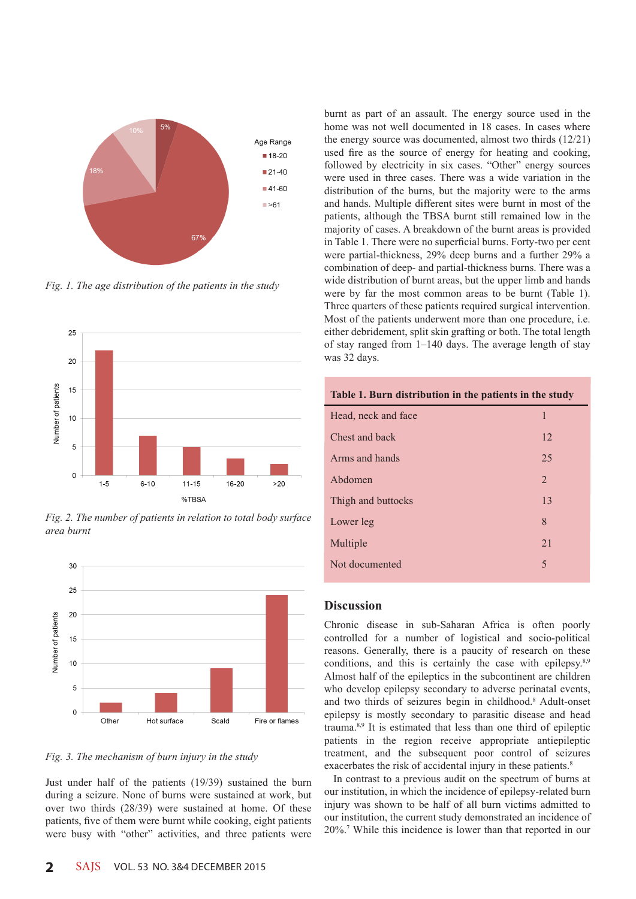

*Fig. 1. The age distribution of the patients in the study*



*Fig. 2. The number of patients in relation to total body surface area burnt*



*Fig. 3. The mechanism of burn injury in the study*

Just under half of the patients (19/39) sustained the burn during a seizure. None of burns were sustained at work, but over two thirds (28/39) were sustained at home. Of these patients, five of them were burnt while cooking, eight patients were busy with "other" activities, and three patients were

burnt as part of an assault. The energy source used in the home was not well documented in 18 cases. In cases where the energy source was documented, almost two thirds (12/21) used fire as the source of energy for heating and cooking, followed by electricity in six cases. "Other" energy sources were used in three cases. There was a wide variation in the distribution of the burns, but the majority were to the arms and hands. Multiple different sites were burnt in most of the patients, although the TBSA burnt still remained low in the majority of cases. A breakdown of the burnt areas is provided in Table 1. There were no superficial burns. Forty-two per cent were partial-thickness, 29% deep burns and a further 29% a combination of deep- and partial-thickness burns. There was a wide distribution of burnt areas, but the upper limb and hands were by far the most common areas to be burnt (Table 1). Three quarters of these patients required surgical intervention. Most of the patients underwent more than one procedure, i.e. either debridement, split skin grafting or both. The total length of stay ranged from 1–140 days. The average length of stay was 32 days.

| Table 1. Burn distribution in the patients in the study |                |
|---------------------------------------------------------|----------------|
| Head, neck and face                                     | 1              |
| Chest and back                                          | 12             |
| Arms and hands                                          | 25             |
| Abdomen                                                 | $\overline{2}$ |
| Thigh and buttocks                                      | 13             |
| Lower leg                                               | 8              |
| Multiple                                                | 21             |
| Not documented                                          | 5              |
|                                                         |                |

## **Discussion**

Chronic disease in sub-Saharan Africa is often poorly controlled for a number of logistical and socio-political reasons. Generally, there is a paucity of research on these conditions, and this is certainly the case with epilepsy.<sup>8,9</sup> Almost half of the epileptics in the subcontinent are children who develop epilepsy secondary to adverse perinatal events, and two thirds of seizures begin in childhood.<sup>8</sup> Adult-onset epilepsy is mostly secondary to parasitic disease and head trauma.8,9 It is estimated that less than one third of epileptic patients in the region receive appropriate antiepileptic treatment, and the subsequent poor control of seizures exacerbates the risk of accidental injury in these patients.<sup>8</sup>

In contrast to a previous audit on the spectrum of burns at our institution, in which the incidence of epilepsy-related burn injury was shown to be half of all burn victims admitted to our institution, the current study demonstrated an incidence of 20%.7 While this incidence is lower than that reported in our